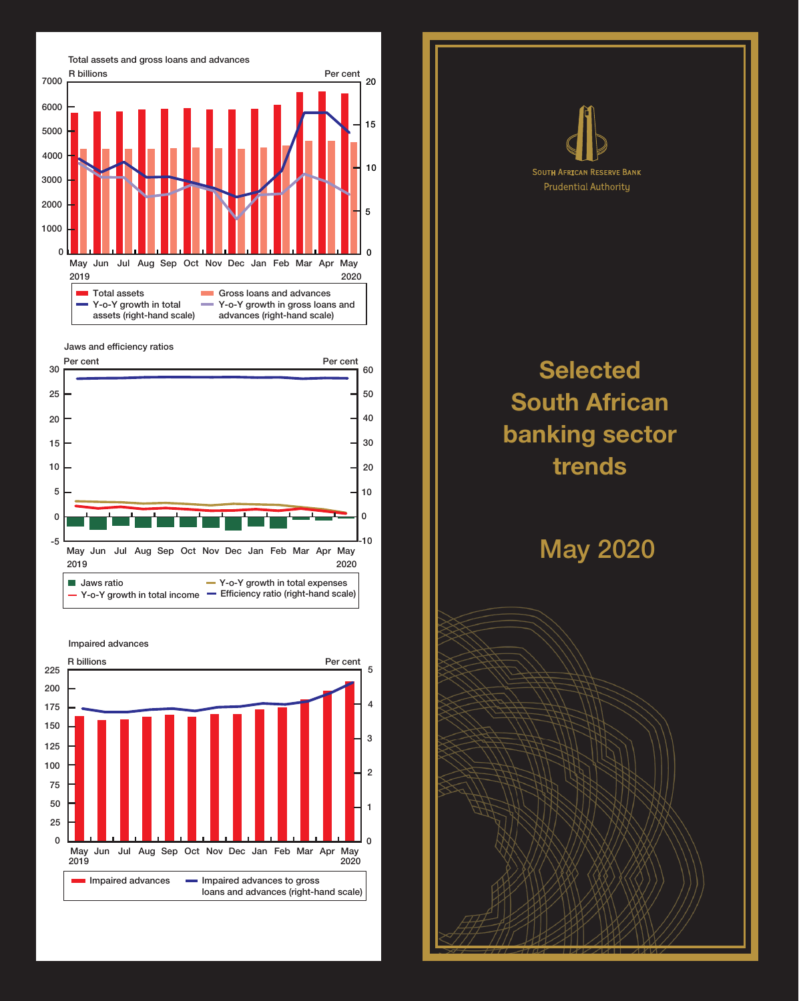